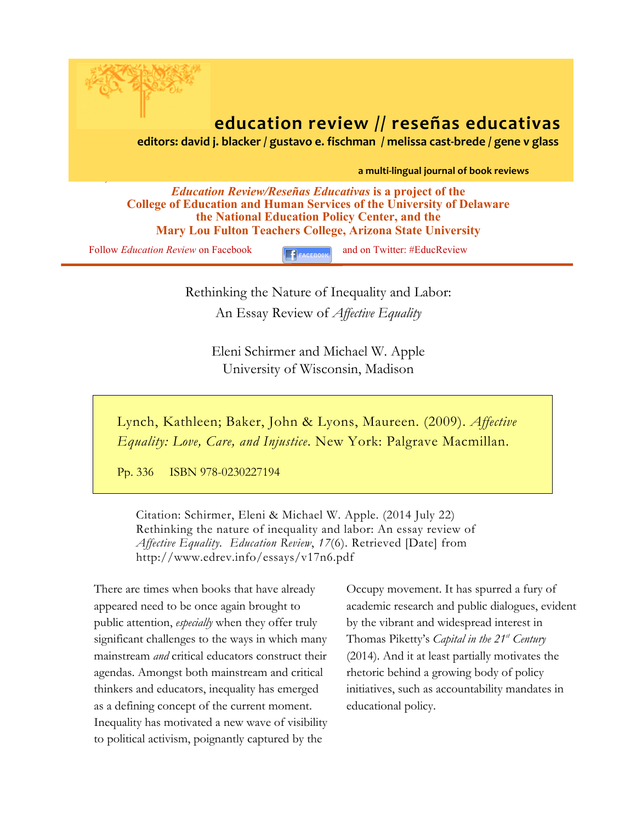

**Mary Lou Fulton Teachers College, Arizona State University**

Follow *Education Review* on Facebook **and on Twitter: #EducReview** 

Rethinking the Nature of Inequality and Labor: An Essay Review of *Affective Equality*

> Eleni Schirmer and Michael W. Apple University of Wisconsin, Madison

Lynch, Kathleen; Baker, John & Lyons, Maureen. (2009). *Affective Equality: Love, Care, and Injustice*. New York: Palgrave Macmillan.

Pp. 336 ISBN 978-0230227194

Citation: Schirmer, Eleni & Michael W. Apple. (2014 July 22) Rethinking the nature of inequality and labor: An essay review of *Affective Equality. Education Review*, *17*(6). Retrieved [Date] from http://www.edrev.info/essays/v17n6.pdf

There are times when books that have already appeared need to be once again brought to public attention, *especially* when they offer truly significant challenges to the ways in which many mainstream *and* critical educators construct their agendas. Amongst both mainstream and critical thinkers and educators, inequality has emerged as a defining concept of the current moment. Inequality has motivated a new wave of visibility to political activism, poignantly captured by the

Occupy movement. It has spurred a fury of academic research and public dialogues, evident by the vibrant and widespread interest in Thomas Piketty's *Capital in the 21st Century* (2014). And it at least partially motivates the rhetoric behind a growing body of policy initiatives, such as accountability mandates in educational policy.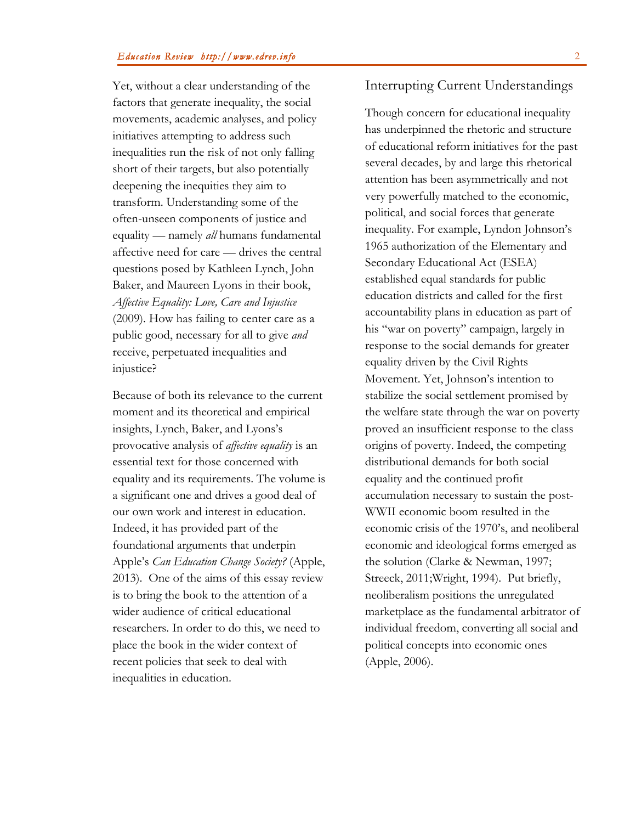Yet, without a clear understanding of the factors that generate inequality, the social movements, academic analyses, and policy initiatives attempting to address such inequalities run the risk of not only falling short of their targets, but also potentially deepening the inequities they aim to transform. Understanding some of the often-unseen components of justice and equality — namely *all* humans fundamental affective need for care — drives the central questions posed by Kathleen Lynch, John Baker, and Maureen Lyons in their book, *Affective Equality: Love, Care and Injustice* (2009)*.* How has failing to center care as a public good, necessary for all to give *and* receive, perpetuated inequalities and injustice?

Because of both its relevance to the current moment and its theoretical and empirical insights, Lynch, Baker, and Lyons's provocative analysis of *affective equality* is an essential text for those concerned with equality and its requirements. The volume is a significant one and drives a good deal of our own work and interest in education. Indeed, it has provided part of the foundational arguments that underpin Apple's *Can Education Change Society?* (Apple, 2013). One of the aims of this essay review is to bring the book to the attention of a wider audience of critical educational researchers. In order to do this, we need to place the book in the wider context of recent policies that seek to deal with inequalities in education.

# Interrupting Current Understandings

Though concern for educational inequality has underpinned the rhetoric and structure of educational reform initiatives for the past several decades, by and large this rhetorical attention has been asymmetrically and not very powerfully matched to the economic, political, and social forces that generate inequality. For example, Lyndon Johnson's 1965 authorization of the Elementary and Secondary Educational Act (ESEA) established equal standards for public education districts and called for the first accountability plans in education as part of his "war on poverty" campaign, largely in response to the social demands for greater equality driven by the Civil Rights Movement. Yet, Johnson's intention to stabilize the social settlement promised by the welfare state through the war on poverty proved an insufficient response to the class origins of poverty. Indeed, the competing distributional demands for both social equality and the continued profit accumulation necessary to sustain the post-WWII economic boom resulted in the economic crisis of the 1970's, and neoliberal economic and ideological forms emerged as the solution (Clarke & Newman, 1997; Streeck, 2011;Wright, 1994). Put briefly, neoliberalism positions the unregulated marketplace as the fundamental arbitrator of individual freedom, converting all social and political concepts into economic ones (Apple, 2006).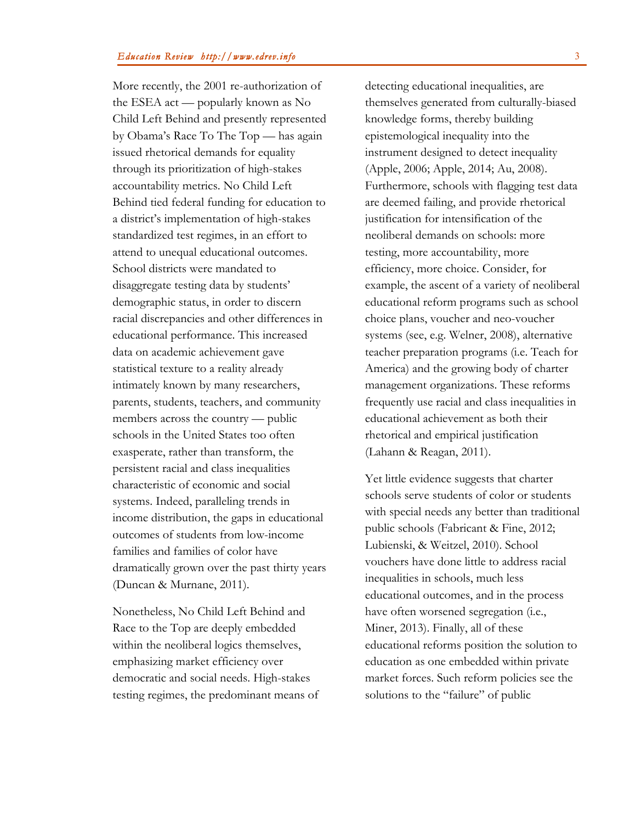More recently, the 2001 re-authorization of the ESEA act — popularly known as No Child Left Behind and presently represented by Obama's Race To The Top — has again issued rhetorical demands for equality through its prioritization of high-stakes accountability metrics. No Child Left Behind tied federal funding for education to a district's implementation of high-stakes standardized test regimes, in an effort to attend to unequal educational outcomes. School districts were mandated to disaggregate testing data by students' demographic status, in order to discern racial discrepancies and other differences in educational performance. This increased data on academic achievement gave statistical texture to a reality already intimately known by many researchers, parents, students, teachers, and community members across the country — public schools in the United States too often exasperate, rather than transform, the persistent racial and class inequalities characteristic of economic and social systems. Indeed, paralleling trends in income distribution, the gaps in educational outcomes of students from low-income families and families of color have dramatically grown over the past thirty years (Duncan & Murnane, 2011).

Nonetheless, No Child Left Behind and Race to the Top are deeply embedded within the neoliberal logics themselves, emphasizing market efficiency over democratic and social needs. High-stakes testing regimes, the predominant means of detecting educational inequalities, are themselves generated from culturally-biased knowledge forms, thereby building epistemological inequality into the instrument designed to detect inequality (Apple, 2006; Apple, 2014; Au, 2008). Furthermore, schools with flagging test data are deemed failing, and provide rhetorical justification for intensification of the neoliberal demands on schools: more testing, more accountability, more efficiency, more choice. Consider, for example, the ascent of a variety of neoliberal educational reform programs such as school choice plans, voucher and neo-voucher systems (see, e.g. Welner, 2008), alternative teacher preparation programs (i.e. Teach for America) and the growing body of charter management organizations. These reforms frequently use racial and class inequalities in educational achievement as both their rhetorical and empirical justification (Lahann & Reagan, 2011).

Yet little evidence suggests that charter schools serve students of color or students with special needs any better than traditional public schools (Fabricant & Fine, 2012; Lubienski, & Weitzel, 2010). School vouchers have done little to address racial inequalities in schools, much less educational outcomes, and in the process have often worsened segregation (i.e., Miner, 2013). Finally, all of these educational reforms position the solution to education as one embedded within private market forces. Such reform policies see the solutions to the "failure" of public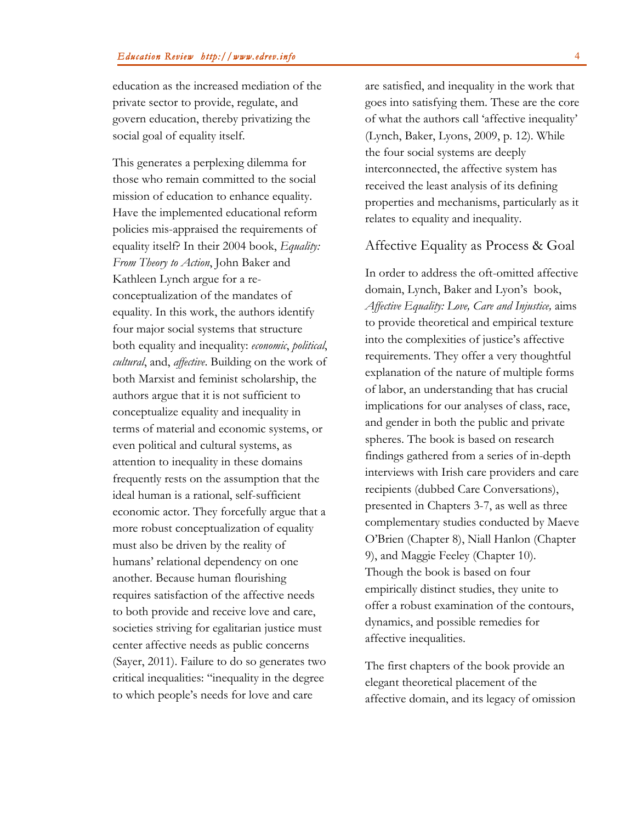education as the increased mediation of the private sector to provide, regulate, and govern education, thereby privatizing the social goal of equality itself.

This generates a perplexing dilemma for those who remain committed to the social mission of education to enhance equality. Have the implemented educational reform policies mis-appraised the requirements of equality itself? In their 2004 book, *Equality: From Theory to Action*, John Baker and Kathleen Lynch argue for a reconceptualization of the mandates of equality. In this work, the authors identify four major social systems that structure both equality and inequality: *economic*, *political*, *cultural*, and, *affective*. Building on the work of both Marxist and feminist scholarship, the authors argue that it is not sufficient to conceptualize equality and inequality in terms of material and economic systems, or even political and cultural systems, as attention to inequality in these domains frequently rests on the assumption that the ideal human is a rational, self-sufficient economic actor. They forcefully argue that a more robust conceptualization of equality must also be driven by the reality of humans' relational dependency on one another. Because human flourishing requires satisfaction of the affective needs to both provide and receive love and care, societies striving for egalitarian justice must center affective needs as public concerns (Sayer, 2011). Failure to do so generates two critical inequalities: "inequality in the degree to which people's needs for love and care

are satisfied, and inequality in the work that goes into satisfying them. These are the core of what the authors call 'affective inequality' (Lynch, Baker, Lyons, 2009, p. 12). While the four social systems are deeply interconnected, the affective system has received the least analysis of its defining properties and mechanisms, particularly as it relates to equality and inequality.

## Affective Equality as Process & Goal

In order to address the oft-omitted affective domain, Lynch, Baker and Lyon's book, *Affective Equality: Love, Care and Injustice,* aims to provide theoretical and empirical texture into the complexities of justice's affective requirements. They offer a very thoughtful explanation of the nature of multiple forms of labor, an understanding that has crucial implications for our analyses of class, race, and gender in both the public and private spheres. The book is based on research findings gathered from a series of in-depth interviews with Irish care providers and care recipients (dubbed Care Conversations), presented in Chapters 3-7, as well as three complementary studies conducted by Maeve O'Brien (Chapter 8), Niall Hanlon (Chapter 9), and Maggie Feeley (Chapter 10). Though the book is based on four empirically distinct studies, they unite to offer a robust examination of the contours, dynamics, and possible remedies for affective inequalities.

The first chapters of the book provide an elegant theoretical placement of the affective domain, and its legacy of omission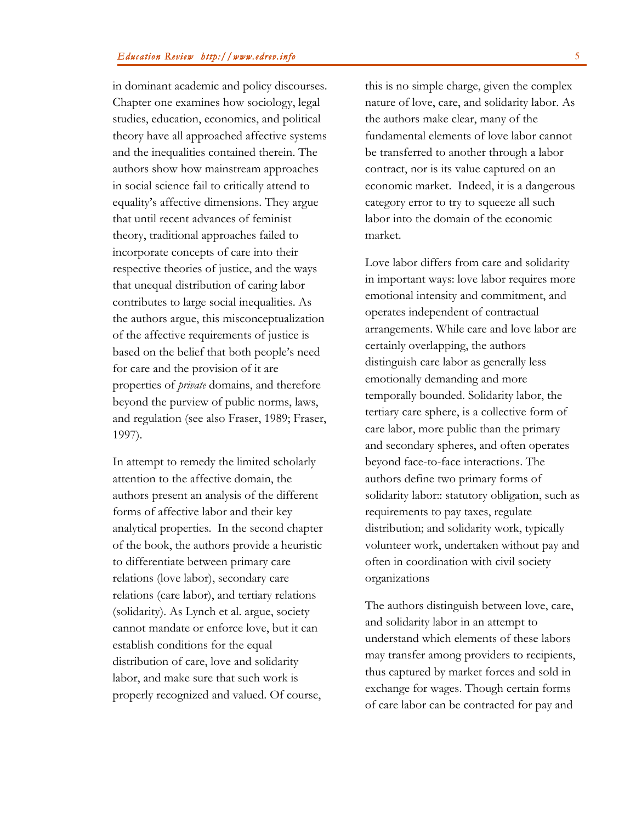in dominant academic and policy discourses. Chapter one examines how sociology, legal studies, education, economics, and political theory have all approached affective systems and the inequalities contained therein. The authors show how mainstream approaches in social science fail to critically attend to equality's affective dimensions. They argue that until recent advances of feminist theory, traditional approaches failed to incorporate concepts of care into their respective theories of justice, and the ways that unequal distribution of caring labor contributes to large social inequalities. As the authors argue, this misconceptualization of the affective requirements of justice is based on the belief that both people's need for care and the provision of it are properties of *private* domains, and therefore beyond the purview of public norms, laws, and regulation (see also Fraser, 1989; Fraser, 1997).

In attempt to remedy the limited scholarly attention to the affective domain, the authors present an analysis of the different forms of affective labor and their key analytical properties. In the second chapter of the book, the authors provide a heuristic to differentiate between primary care relations (love labor), secondary care relations (care labor), and tertiary relations (solidarity). As Lynch et al. argue, society cannot mandate or enforce love, but it can establish conditions for the equal distribution of care, love and solidarity labor, and make sure that such work is properly recognized and valued. Of course,

this is no simple charge, given the complex nature of love, care, and solidarity labor. As the authors make clear, many of the fundamental elements of love labor cannot be transferred to another through a labor contract, nor is its value captured on an economic market. Indeed, it is a dangerous category error to try to squeeze all such labor into the domain of the economic market.

Love labor differs from care and solidarity in important ways: love labor requires more emotional intensity and commitment, and operates independent of contractual arrangements. While care and love labor are certainly overlapping, the authors distinguish care labor as generally less emotionally demanding and more temporally bounded. Solidarity labor, the tertiary care sphere, is a collective form of care labor, more public than the primary and secondary spheres, and often operates beyond face-to-face interactions. The authors define two primary forms of solidarity labor:: statutory obligation, such as requirements to pay taxes, regulate distribution; and solidarity work, typically volunteer work, undertaken without pay and often in coordination with civil society organizations

The authors distinguish between love, care, and solidarity labor in an attempt to understand which elements of these labors may transfer among providers to recipients, thus captured by market forces and sold in exchange for wages. Though certain forms of care labor can be contracted for pay and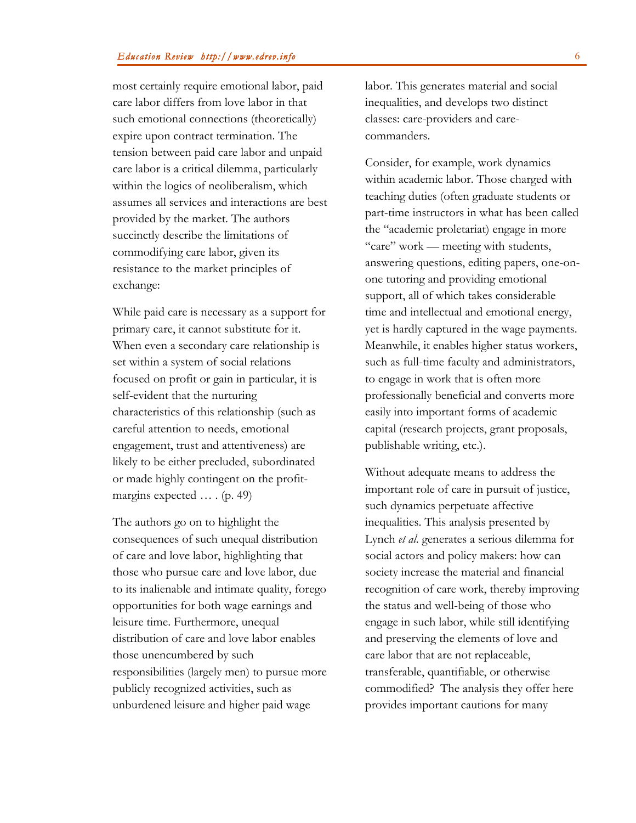most certainly require emotional labor, paid care labor differs from love labor in that such emotional connections (theoretically) expire upon contract termination. The tension between paid care labor and unpaid care labor is a critical dilemma, particularly within the logics of neoliberalism, which assumes all services and interactions are best provided by the market. The authors succinctly describe the limitations of commodifying care labor, given its resistance to the market principles of exchange:

While paid care is necessary as a support for primary care, it cannot substitute for it. When even a secondary care relationship is set within a system of social relations focused on profit or gain in particular, it is self-evident that the nurturing characteristics of this relationship (such as careful attention to needs, emotional engagement, trust and attentiveness) are likely to be either precluded, subordinated or made highly contingent on the profitmargins expected … . (p. 49)

The authors go on to highlight the consequences of such unequal distribution of care and love labor, highlighting that those who pursue care and love labor, due to its inalienable and intimate quality, forego opportunities for both wage earnings and leisure time. Furthermore, unequal distribution of care and love labor enables those unencumbered by such responsibilities (largely men) to pursue more publicly recognized activities, such as unburdened leisure and higher paid wage

labor. This generates material and social inequalities, and develops two distinct classes: care-providers and carecommanders.

Consider, for example, work dynamics within academic labor. Those charged with teaching duties (often graduate students or part-time instructors in what has been called the "academic proletariat) engage in more "care" work — meeting with students, answering questions, editing papers, one-onone tutoring and providing emotional support, all of which takes considerable time and intellectual and emotional energy, yet is hardly captured in the wage payments. Meanwhile, it enables higher status workers, such as full-time faculty and administrators, to engage in work that is often more professionally beneficial and converts more easily into important forms of academic capital (research projects, grant proposals, publishable writing, etc.).

Without adequate means to address the important role of care in pursuit of justice, such dynamics perpetuate affective inequalities. This analysis presented by Lynch *et al*. generates a serious dilemma for social actors and policy makers: how can society increase the material and financial recognition of care work, thereby improving the status and well-being of those who engage in such labor, while still identifying and preserving the elements of love and care labor that are not replaceable, transferable, quantifiable, or otherwise commodified? The analysis they offer here provides important cautions for many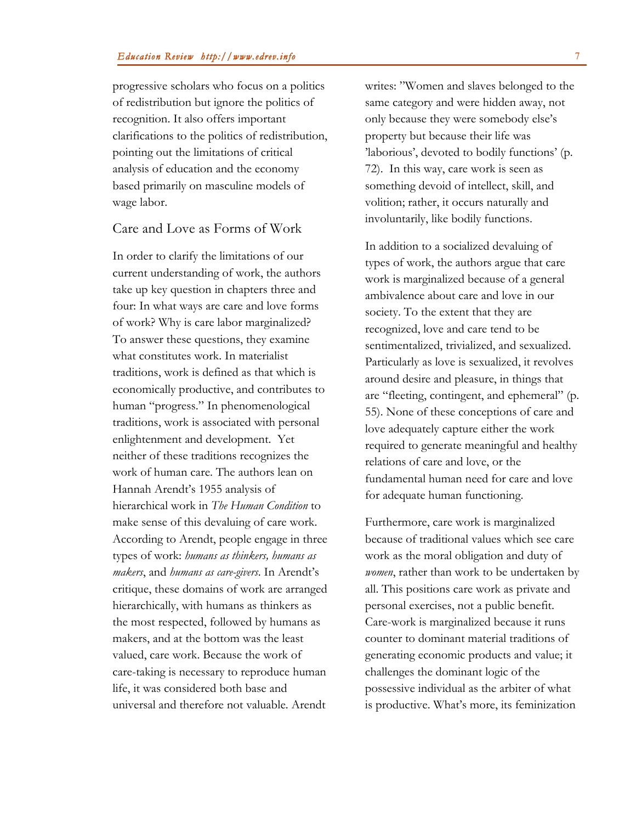progressive scholars who focus on a politics of redistribution but ignore the politics of recognition. It also offers important clarifications to the politics of redistribution, pointing out the limitations of critical analysis of education and the economy based primarily on masculine models of wage labor.

## Care and Love as Forms of Work

In order to clarify the limitations of our current understanding of work, the authors take up key question in chapters three and four: In what ways are care and love forms of work? Why is care labor marginalized? To answer these questions, they examine what constitutes work. In materialist traditions, work is defined as that which is economically productive, and contributes to human "progress." In phenomenological traditions, work is associated with personal enlightenment and development. Yet neither of these traditions recognizes the work of human care. The authors lean on Hannah Arendt's 1955 analysis of hierarchical work in *The Human Condition* to make sense of this devaluing of care work. According to Arendt, people engage in three types of work: *humans as thinkers, humans as makers*, and *humans as care-givers*. In Arendt's critique, these domains of work are arranged hierarchically, with humans as thinkers as the most respected, followed by humans as makers, and at the bottom was the least valued, care work. Because the work of care-taking is necessary to reproduce human life, it was considered both base and universal and therefore not valuable. Arendt

writes: "Women and slaves belonged to the same category and were hidden away, not only because they were somebody else's property but because their life was 'laborious', devoted to bodily functions' (p. 72). In this way, care work is seen as something devoid of intellect, skill, and volition; rather, it occurs naturally and involuntarily, like bodily functions.

In addition to a socialized devaluing of types of work, the authors argue that care work is marginalized because of a general ambivalence about care and love in our society. To the extent that they are recognized, love and care tend to be sentimentalized, trivialized, and sexualized. Particularly as love is sexualized, it revolves around desire and pleasure, in things that are "fleeting, contingent, and ephemeral" (p. 55). None of these conceptions of care and love adequately capture either the work required to generate meaningful and healthy relations of care and love, or the fundamental human need for care and love for adequate human functioning.

Furthermore, care work is marginalized because of traditional values which see care work as the moral obligation and duty of *women*, rather than work to be undertaken by all. This positions care work as private and personal exercises, not a public benefit. Care-work is marginalized because it runs counter to dominant material traditions of generating economic products and value; it challenges the dominant logic of the possessive individual as the arbiter of what is productive. What's more, its feminization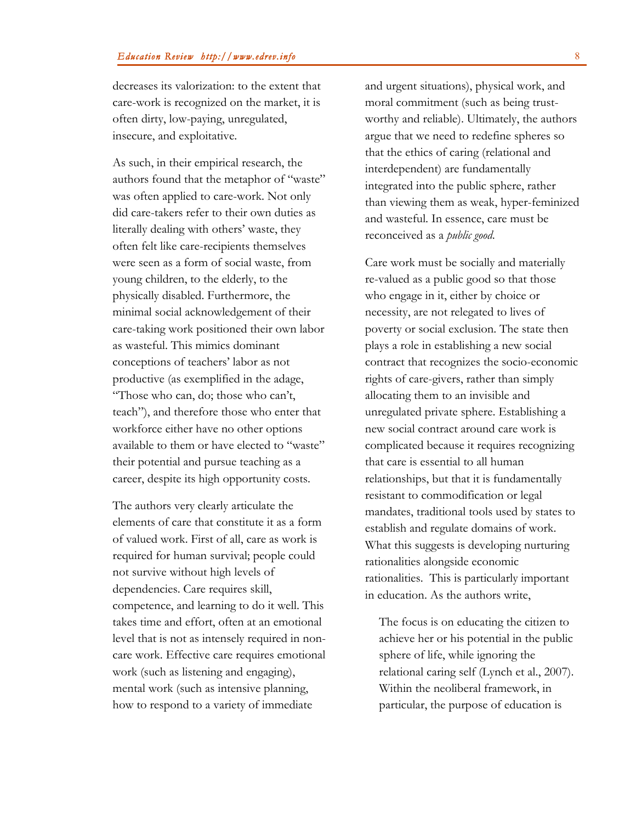decreases its valorization: to the extent that care-work is recognized on the market, it is often dirty, low-paying, unregulated, insecure, and exploitative.

As such, in their empirical research, the authors found that the metaphor of "waste" was often applied to care-work. Not only did care-takers refer to their own duties as literally dealing with others' waste, they often felt like care-recipients themselves were seen as a form of social waste, from young children, to the elderly, to the physically disabled. Furthermore, the minimal social acknowledgement of their care-taking work positioned their own labor as wasteful. This mimics dominant conceptions of teachers' labor as not productive (as exemplified in the adage, "Those who can, do; those who can't, teach"), and therefore those who enter that workforce either have no other options available to them or have elected to "waste" their potential and pursue teaching as a career, despite its high opportunity costs.

The authors very clearly articulate the elements of care that constitute it as a form of valued work. First of all, care as work is required for human survival; people could not survive without high levels of dependencies. Care requires skill, competence, and learning to do it well. This takes time and effort, often at an emotional level that is not as intensely required in noncare work. Effective care requires emotional work (such as listening and engaging), mental work (such as intensive planning, how to respond to a variety of immediate

and urgent situations), physical work, and moral commitment (such as being trustworthy and reliable). Ultimately, the authors argue that we need to redefine spheres so that the ethics of caring (relational and interdependent) are fundamentally integrated into the public sphere, rather than viewing them as weak, hyper-feminized and wasteful. In essence, care must be reconceived as a *public good*.

Care work must be socially and materially re-valued as a public good so that those who engage in it, either by choice or necessity, are not relegated to lives of poverty or social exclusion. The state then plays a role in establishing a new social contract that recognizes the socio-economic rights of care-givers, rather than simply allocating them to an invisible and unregulated private sphere. Establishing a new social contract around care work is complicated because it requires recognizing that care is essential to all human relationships, but that it is fundamentally resistant to commodification or legal mandates, traditional tools used by states to establish and regulate domains of work. What this suggests is developing nurturing rationalities alongside economic rationalities. This is particularly important in education. As the authors write,

The focus is on educating the citizen to achieve her or his potential in the public sphere of life, while ignoring the relational caring self (Lynch et al., 2007). Within the neoliberal framework, in particular, the purpose of education is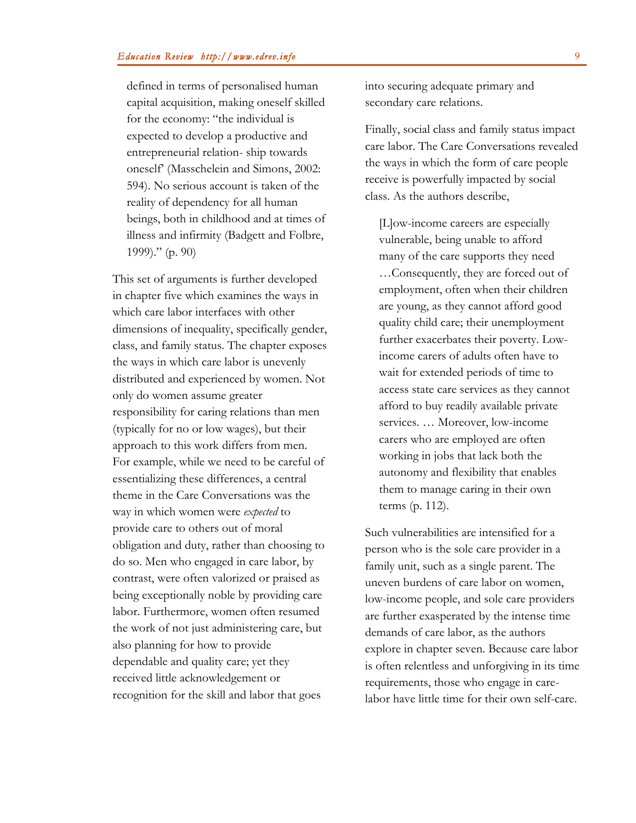defined in terms of personalised human capital acquisition, making oneself skilled for the economy: "the individual is expected to develop a productive and entrepreneurial relation- ship towards oneself' (Masschelein and Simons, 2002: 594). No serious account is taken of the reality of dependency for all human beings, both in childhood and at times of illness and infirmity (Badgett and Folbre, 1999)." (p. 90)

This set of arguments is further developed in chapter five which examines the ways in which care labor interfaces with other dimensions of inequality, specifically gender, class, and family status. The chapter exposes the ways in which care labor is unevenly distributed and experienced by women. Not only do women assume greater responsibility for caring relations than men (typically for no or low wages), but their approach to this work differs from men. For example, while we need to be careful of essentializing these differences, a central theme in the Care Conversations was the way in which women were *expected* to provide care to others out of moral obligation and duty, rather than choosing to do so. Men who engaged in care labor, by contrast, were often valorized or praised as being exceptionally noble by providing care labor. Furthermore, women often resumed the work of not just administering care, but also planning for how to provide dependable and quality care; yet they received little acknowledgement or recognition for the skill and labor that goes

into securing adequate primary and secondary care relations.

Finally, social class and family status impact care labor. The Care Conversations revealed the ways in which the form of care people receive is powerfully impacted by social class. As the authors describe,

[L]ow-income careers are especially vulnerable, being unable to afford many of the care supports they need …Consequently, they are forced out of employment, often when their children are young, as they cannot afford good quality child care; their unemployment further exacerbates their poverty. Lowincome carers of adults often have to wait for extended periods of time to access state care services as they cannot afford to buy readily available private services. … Moreover, low-income carers who are employed are often working in jobs that lack both the autonomy and flexibility that enables them to manage caring in their own terms (p. 112).

Such vulnerabilities are intensified for a person who is the sole care provider in a family unit, such as a single parent. The uneven burdens of care labor on women, low-income people, and sole care providers are further exasperated by the intense time demands of care labor, as the authors explore in chapter seven. Because care labor is often relentless and unforgiving in its time requirements, those who engage in carelabor have little time for their own self-care.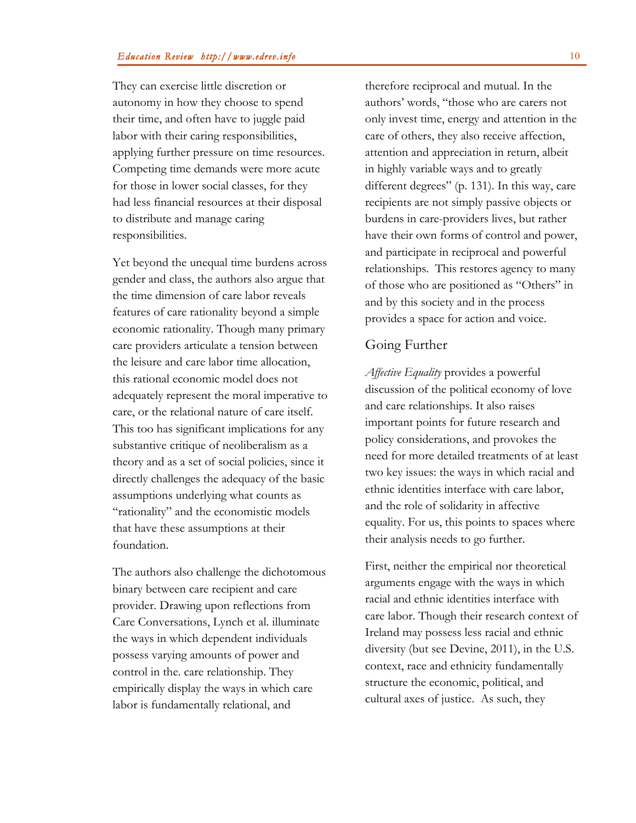They can exercise little discretion or autonomy in how they choose to spend their time, and often have to juggle paid labor with their caring responsibilities, applying further pressure on time resources. Competing time demands were more acute for those in lower social classes, for they had less financial resources at their disposal to distribute and manage caring responsibilities.

Yet beyond the unequal time burdens across gender and class, the authors also argue that the time dimension of care labor reveals features of care rationality beyond a simple economic rationality. Though many primary care providers articulate a tension between the leisure and care labor time allocation, this rational economic model does not adequately represent the moral imperative to care, or the relational nature of care itself. This too has significant implications for any substantive critique of neoliberalism as a theory and as a set of social policies, since it directly challenges the adequacy of the basic assumptions underlying what counts as "rationality" and the economistic models that have these assumptions at their foundation.

The authors also challenge the dichotomous binary between care recipient and care provider. Drawing upon reflections from Care Conversations, Lynch et al. illuminate the ways in which dependent individuals possess varying amounts of power and control in the. care relationship. They empirically display the ways in which care labor is fundamentally relational, and

therefore reciprocal and mutual. In the authors' words, "those who are carers not only invest time, energy and attention in the care of others, they also receive affection, attention and appreciation in return, albeit in highly variable ways and to greatly different degrees" (p. 131). In this way, care recipients are not simply passive objects or burdens in care-providers lives, but rather have their own forms of control and power, and participate in reciprocal and powerful relationships. This restores agency to many of those who are positioned as "Others" in and by this society and in the process provides a space for action and voice.

## Going Further

*Affective Equality* provides a powerful discussion of the political economy of love and care relationships. It also raises important points for future research and policy considerations, and provokes the need for more detailed treatments of at least two key issues: the ways in which racial and ethnic identities interface with care labor, and the role of solidarity in affective equality. For us, this points to spaces where their analysis needs to go further.

First, neither the empirical nor theoretical arguments engage with the ways in which racial and ethnic identities interface with care labor. Though their research context of Ireland may possess less racial and ethnic diversity (but see Devine, 2011), in the U.S. context, race and ethnicity fundamentally structure the economic, political, and cultural axes of justice. As such, they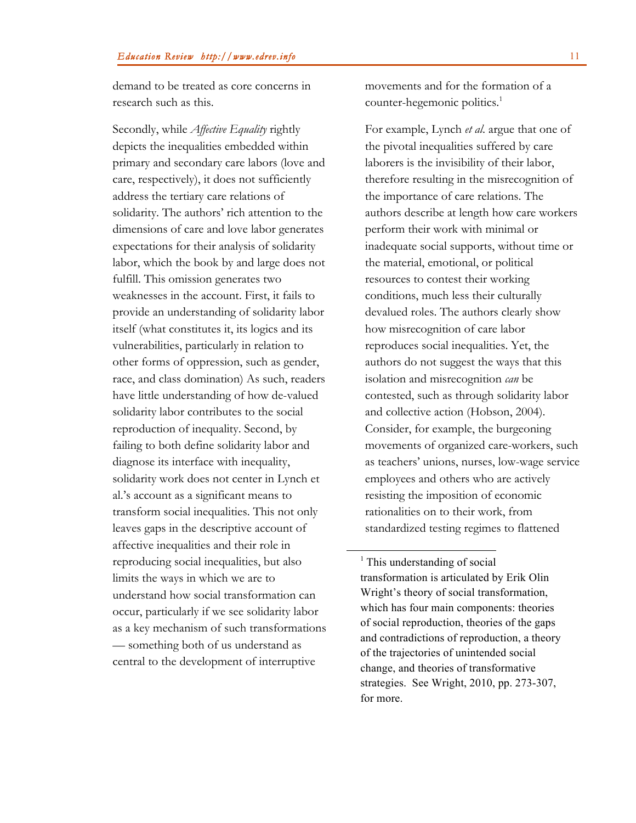demand to be treated as core concerns in research such as this.

Secondly, while *Affective Equality* rightly depicts the inequalities embedded within primary and secondary care labors (love and care, respectively), it does not sufficiently address the tertiary care relations of solidarity. The authors' rich attention to the dimensions of care and love labor generates expectations for their analysis of solidarity labor, which the book by and large does not fulfill. This omission generates two weaknesses in the account. First, it fails to provide an understanding of solidarity labor itself (what constitutes it, its logics and its vulnerabilities, particularly in relation to other forms of oppression, such as gender, race, and class domination) As such, readers have little understanding of how de-valued solidarity labor contributes to the social reproduction of inequality. Second, by failing to both define solidarity labor and diagnose its interface with inequality, solidarity work does not center in Lynch et al.'s account as a significant means to transform social inequalities. This not only leaves gaps in the descriptive account of affective inequalities and their role in reproducing social inequalities, but also limits the ways in which we are to understand how social transformation can occur, particularly if we see solidarity labor as a key mechanism of such transformations — something both of us understand as central to the development of interruptive

movements and for the formation of a counter-hegemonic politics.<sup>1</sup>

For example, Lynch *et al*. argue that one of the pivotal inequalities suffered by care laborers is the invisibility of their labor, therefore resulting in the misrecognition of the importance of care relations. The authors describe at length how care workers perform their work with minimal or inadequate social supports, without time or the material, emotional, or political resources to contest their working conditions, much less their culturally devalued roles. The authors clearly show how misrecognition of care labor reproduces social inequalities. Yet, the authors do not suggest the ways that this isolation and misrecognition *can* be contested, such as through solidarity labor and collective action (Hobson, 2004). Consider, for example, the burgeoning movements of organized care-workers, such as teachers' unions, nurses, low-wage service employees and others who are actively resisting the imposition of economic rationalities on to their work, from standardized testing regimes to flattened

<sup>&</sup>lt;sup>1</sup> This understanding of social transformation is articulated by Erik Olin Wright's theory of social transformation, which has four main components: theories of social reproduction, theories of the gaps and contradictions of reproduction, a theory of the trajectories of unintended social change, and theories of transformative strategies. See Wright, 2010, pp. 273-307, for more.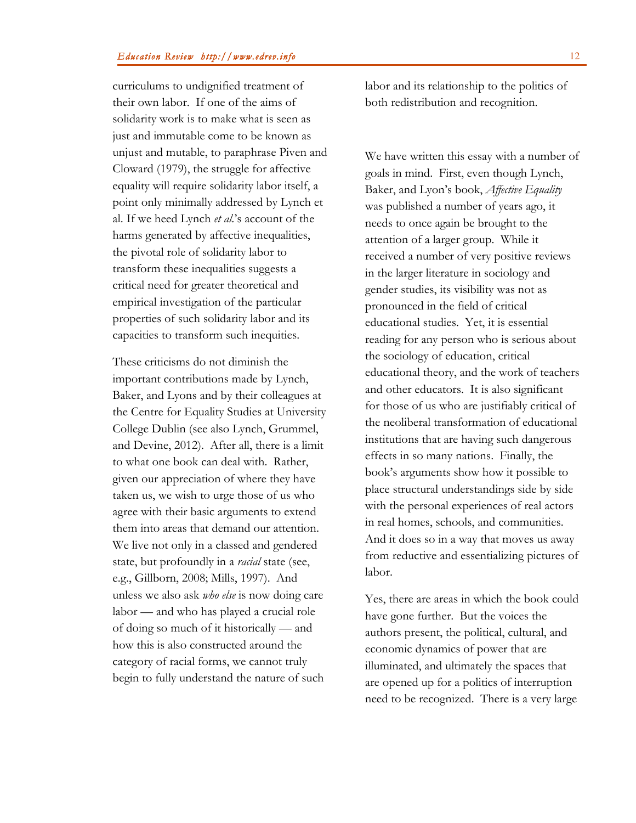curriculums to undignified treatment of their own labor. If one of the aims of solidarity work is to make what is seen as just and immutable come to be known as unjust and mutable, to paraphrase Piven and Cloward (1979), the struggle for affective equality will require solidarity labor itself, a point only minimally addressed by Lynch et al. If we heed Lynch *et al*.'s account of the harms generated by affective inequalities, the pivotal role of solidarity labor to transform these inequalities suggests a critical need for greater theoretical and empirical investigation of the particular properties of such solidarity labor and its capacities to transform such inequities.

These criticisms do not diminish the important contributions made by Lynch, Baker, and Lyons and by their colleagues at the Centre for Equality Studies at University College Dublin (see also Lynch, Grummel, and Devine, 2012). After all, there is a limit to what one book can deal with. Rather, given our appreciation of where they have taken us, we wish to urge those of us who agree with their basic arguments to extend them into areas that demand our attention. We live not only in a classed and gendered state, but profoundly in a *racial* state (see, e.g., Gillborn, 2008; Mills, 1997). And unless we also ask *who else* is now doing care labor — and who has played a crucial role of doing so much of it historically — and how this is also constructed around the category of racial forms, we cannot truly begin to fully understand the nature of such

labor and its relationship to the politics of both redistribution and recognition.

We have written this essay with a number of goals in mind. First, even though Lynch, Baker, and Lyon's book, *Affective Equality* was published a number of years ago, it needs to once again be brought to the attention of a larger group. While it received a number of very positive reviews in the larger literature in sociology and gender studies, its visibility was not as pronounced in the field of critical educational studies. Yet, it is essential reading for any person who is serious about the sociology of education, critical educational theory, and the work of teachers and other educators. It is also significant for those of us who are justifiably critical of the neoliberal transformation of educational institutions that are having such dangerous effects in so many nations. Finally, the book's arguments show how it possible to place structural understandings side by side with the personal experiences of real actors in real homes, schools, and communities. And it does so in a way that moves us away from reductive and essentializing pictures of labor.

Yes, there are areas in which the book could have gone further. But the voices the authors present, the political, cultural, and economic dynamics of power that are illuminated, and ultimately the spaces that are opened up for a politics of interruption need to be recognized. There is a very large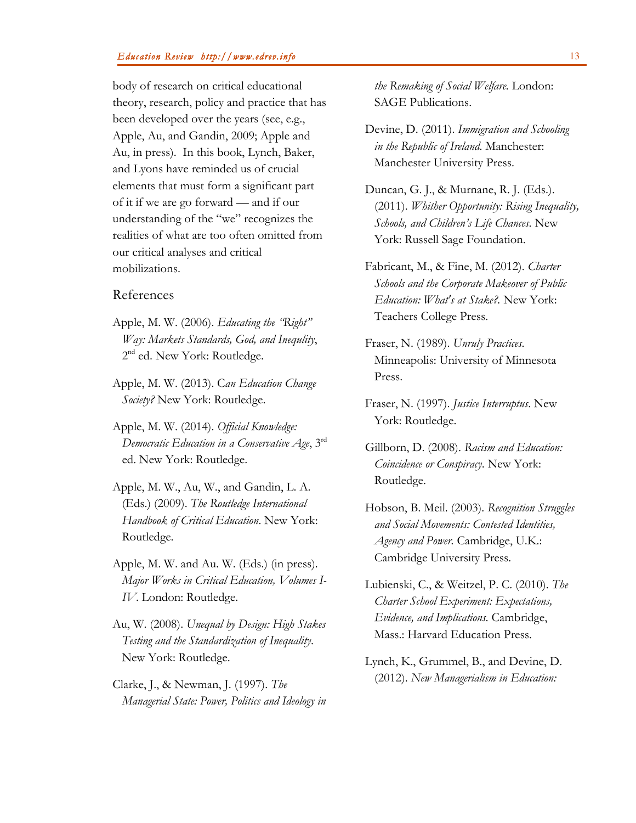body of research on critical educational theory, research, policy and practice that has been developed over the years (see, e.g., Apple, Au, and Gandin, 2009; Apple and Au, in press). In this book, Lynch, Baker, and Lyons have reminded us of crucial elements that must form a significant part of it if we are go forward — and if our understanding of the "we" recognizes the realities of what are too often omitted from our critical analyses and critical mobilizations.

# References

- Apple, M. W. (2006). *Educating the "Right" Way: Markets Standards, God, and Inequlity*, 2<sup>nd</sup> ed. New York: Routledge.
- Apple, M. W. (2013). C*an Education Change Society?* New York: Routledge.
- Apple, M. W. (2014). *Official Knowledge: Democratic Education in a Conservative Age*, 3rd ed. New York: Routledge.
- Apple, M. W., Au, W., and Gandin, L. A. (Eds.) (2009). *The Routledge International Handbook of Critical Education*. New York: Routledge.
- Apple, M. W. and Au. W. (Eds.) (in press). *Major Works in Critical Education, Volumes I-IV*. London: Routledge.
- Au, W. (2008). *Unequal by Design: High Stakes Testing and the Standardization of Inequality*. New York: Routledge.
- Clarke, J., & Newman, J. (1997). *The Managerial State: Power, Politics and Ideology in*

*the Remaking of Social Welfare.* London: SAGE Publications.

- Devine, D. (2011). *Immigration and Schooling in the Republic of Ireland*. Manchester: Manchester University Press.
- Duncan, G. J., & Murnane, R. J. (Eds.). (2011). *Whither Opportunity: Rising Inequality, Schools, and Children's Life Chances*. New York: Russell Sage Foundation.
- Fabricant, M., & Fine, M. (2012). *Charter Schools and the Corporate Makeover of Public Education: What's at Stake?.* New York: Teachers College Press.
- Fraser, N. (1989). *Unruly Practices*. Minneapolis: University of Minnesota Press.
- Fraser, N. (1997). *Justice Interruptus*. New York: Routledge.
- Gillborn, D. (2008). *Racism and Education: Coincidence or Conspiracy*. New York: Routledge.
- Hobson, B. Meil. (2003). *Recognition Struggles and Social Movements: Contested Identities, Agency and Power.* Cambridge, U.K.: Cambridge University Press.
- Lubienski, C., & Weitzel, P. C. (2010). *The Charter School Experiment: Expectations, Evidence, and Implications.* Cambridge, Mass.: Harvard Education Press.
- Lynch, K., Grummel, B., and Devine, D. (2012). *New Managerialism in Education:*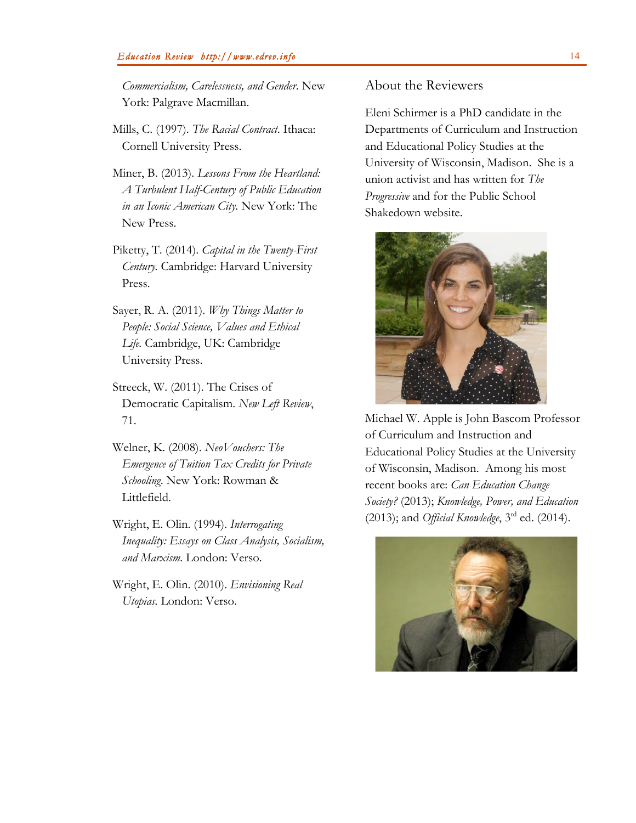*Commercialism, Carelessness, and Gender*. New York: Palgrave Macmillan.

- Mills, C. (1997). *The Racial Contract*. Ithaca: Cornell University Press.
- Miner, B. (2013). *Lessons From the Heartland: A Turbulent Half-Century of Public Education in an Iconic American City.* New York: The New Press.
- Piketty, T. (2014). *Capital in the Twenty-First Century.* Cambridge: Harvard University Press.
- Sayer, R. A. (2011). *Why Things Matter to People: Social Science, Values and Ethical Life.* Cambridge, UK: Cambridge University Press.
- Streeck, W. (2011). The Crises of Democratic Capitalism. *New Left Review*, 71.
- Welner, K. (2008). *NeoVouchers: The Emergence of Tuition Tax Credits for Private Schooling*. New York: Rowman & Littlefield.
- Wright, E. Olin. (1994). *Interrogating Inequality: Essays on Class Analysis, Socialism, and Marxism.* London: Verso.
- Wright, E. Olin. (2010). *Envisioning Real Utopias.* London: Verso.

## About the Reviewers

Eleni Schirmer is a PhD candidate in the Departments of Curriculum and Instruction and Educational Policy Studies at the University of Wisconsin, Madison. She is a union activist and has written for *The Progressive* and for the Public School Shakedown website.



Michael W. Apple is John Bascom Professor of Curriculum and Instruction and Educational Policy Studies at the University of Wisconsin, Madison. Among his most recent books are: *Can Education Change Society?* (2013); *Knowledge, Power, and Education* (2013); and *Official Knowledge*, 3rd ed. (2014).